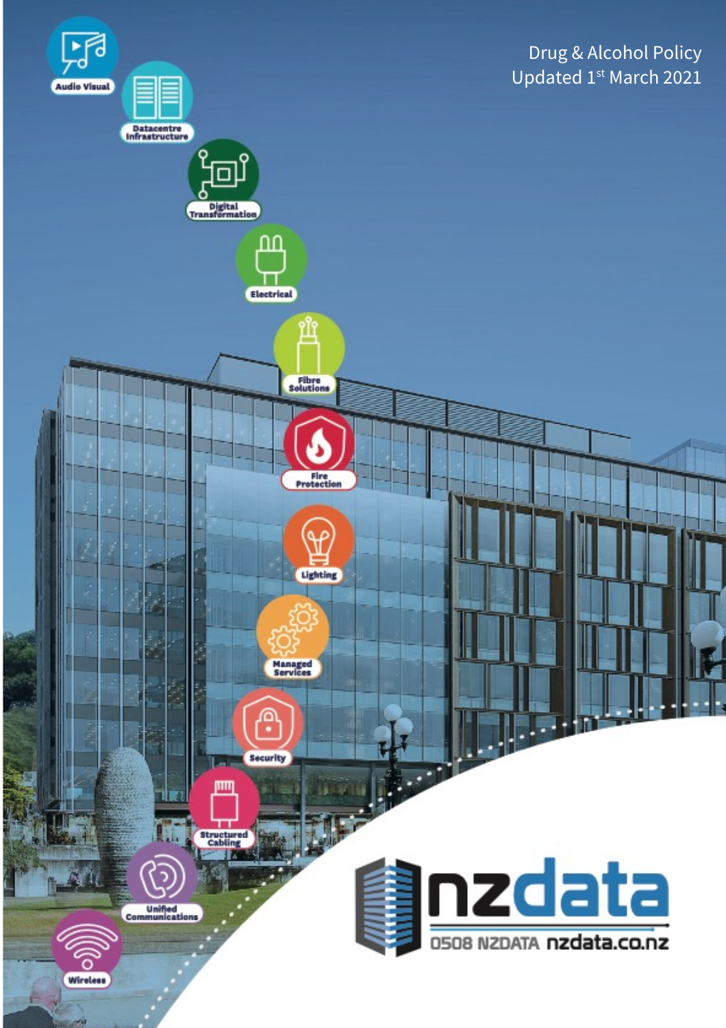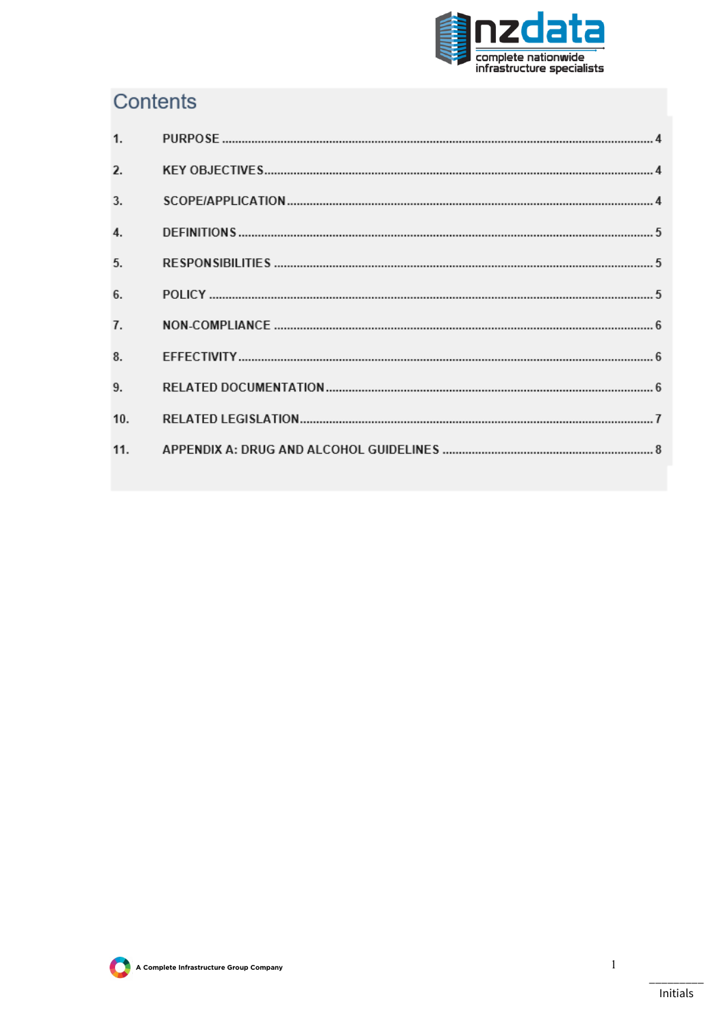

# Contents

| 1.  |  |
|-----|--|
| 2.  |  |
| 3.  |  |
| 4.  |  |
| 5.  |  |
| 6.  |  |
| 7.  |  |
| 8.  |  |
| 9.  |  |
| 10. |  |
| 11. |  |



1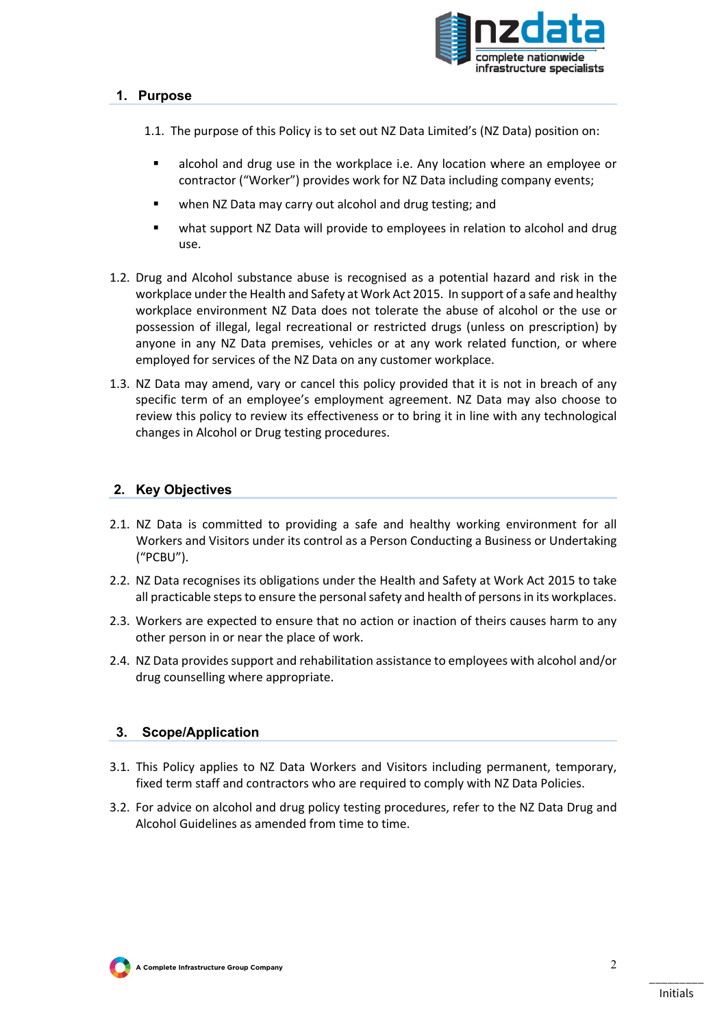

### **1. Purpose**

- 1.1. The purpose of this Policy is to set out NZ Data Limited's (NZ Data) position on:
	- § alcohol and drug use in the workplace i.e. Any location where an employee or contractor ("Worker") provides work for NZ Data including company events;
	- when NZ Data may carry out alcohol and drug testing; and
	- what support NZ Data will provide to employees in relation to alcohol and drug use.
- 1.2. Drug and Alcohol substance abuse is recognised as a potential hazard and risk in the workplace under the Health and Safety at Work Act 2015. In support of a safe and healthy workplace environment NZ Data does not tolerate the abuse of alcohol or the use or possession of illegal, legal recreational or restricted drugs (unless on prescription) by anyone in any NZ Data premises, vehicles or at any work related function, or where employed for services of the NZ Data on any customer workplace.
- 1.3. NZ Data may amend, vary or cancel this policy provided that it is not in breach of any specific term of an employee's employment agreement. NZ Data may also choose to review this policy to review its effectiveness or to bring it in line with any technological changes in Alcohol or Drug testing procedures.

# **2. Key Objectives**

- 2.1. NZ Data is committed to providing a safe and healthy working environment for all Workers and Visitors under its control as a Person Conducting a Business or Undertaking ("PCBU").
- 2.2. NZ Data recognises its obligations under the Health and Safety at Work Act 2015 to take all practicable steps to ensure the personal safety and health of persons in its workplaces.
- 2.3. Workers are expected to ensure that no action or inaction of theirs causes harm to any other person in or near the place of work.
- 2.4. NZ Data provides support and rehabilitation assistance to employees with alcohol and/or drug counselling where appropriate.

#### **3. Scope/Application**

- 3.1. This Policy applies to NZ Data Workers and Visitors including permanent, temporary, fixed term staff and contractors who are required to comply with NZ Data Policies.
- 3.2. For advice on alcohol and drug policy testing procedures, refer to the NZ Data Drug and Alcohol Guidelines as amended from time to time.

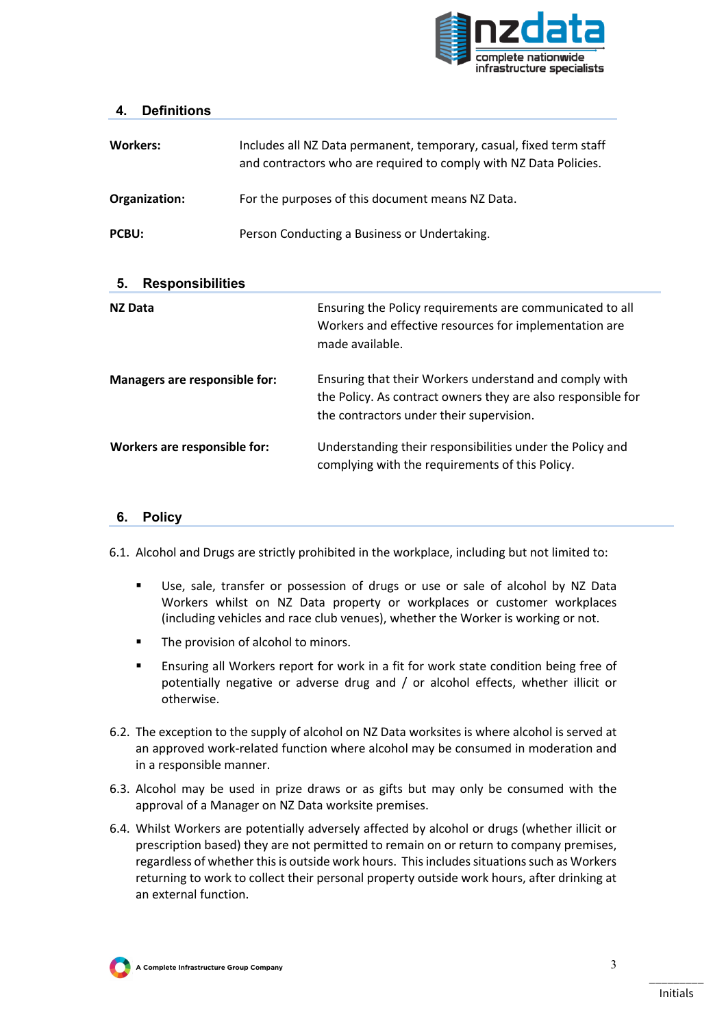

#### **4. Definitions**

| <b>Workers:</b> | Includes all NZ Data permanent, temporary, casual, fixed term staff<br>and contractors who are required to comply with NZ Data Policies. |
|-----------------|------------------------------------------------------------------------------------------------------------------------------------------|
| Organization:   | For the purposes of this document means NZ Data.                                                                                         |
| PCBU:           | Person Conducting a Business or Undertaking.                                                                                             |

| <b>Responsibilities</b><br>5. |                                                                                                                                                                    |  |  |  |
|-------------------------------|--------------------------------------------------------------------------------------------------------------------------------------------------------------------|--|--|--|
| <b>NZ Data</b>                | Ensuring the Policy requirements are communicated to all<br>Workers and effective resources for implementation are<br>made available.                              |  |  |  |
| Managers are responsible for: | Ensuring that their Workers understand and comply with<br>the Policy. As contract owners they are also responsible for<br>the contractors under their supervision. |  |  |  |
| Workers are responsible for:  | Understanding their responsibilities under the Policy and<br>complying with the requirements of this Policy.                                                       |  |  |  |

#### **6. Policy**

6.1. Alcohol and Drugs are strictly prohibited in the workplace, including but not limited to:

- Use, sale, transfer or possession of drugs or use or sale of alcohol by NZ Data Workers whilst on NZ Data property or workplaces or customer workplaces (including vehicles and race club venues), whether the Worker is working or not.
- The provision of alcohol to minors.
- Ensuring all Workers report for work in a fit for work state condition being free of potentially negative or adverse drug and / or alcohol effects, whether illicit or otherwise.
- 6.2. The exception to the supply of alcohol on NZ Data worksites is where alcohol is served at an approved work-related function where alcohol may be consumed in moderation and in a responsible manner.
- 6.3. Alcohol may be used in prize draws or as gifts but may only be consumed with the approval of a Manager on NZ Data worksite premises.
- 6.4. Whilst Workers are potentially adversely affected by alcohol or drugs (whether illicit or prescription based) they are not permitted to remain on or return to company premises, regardless of whether this is outside work hours. This includes situations such as Workers returning to work to collect their personal property outside work hours, after drinking at an external function.

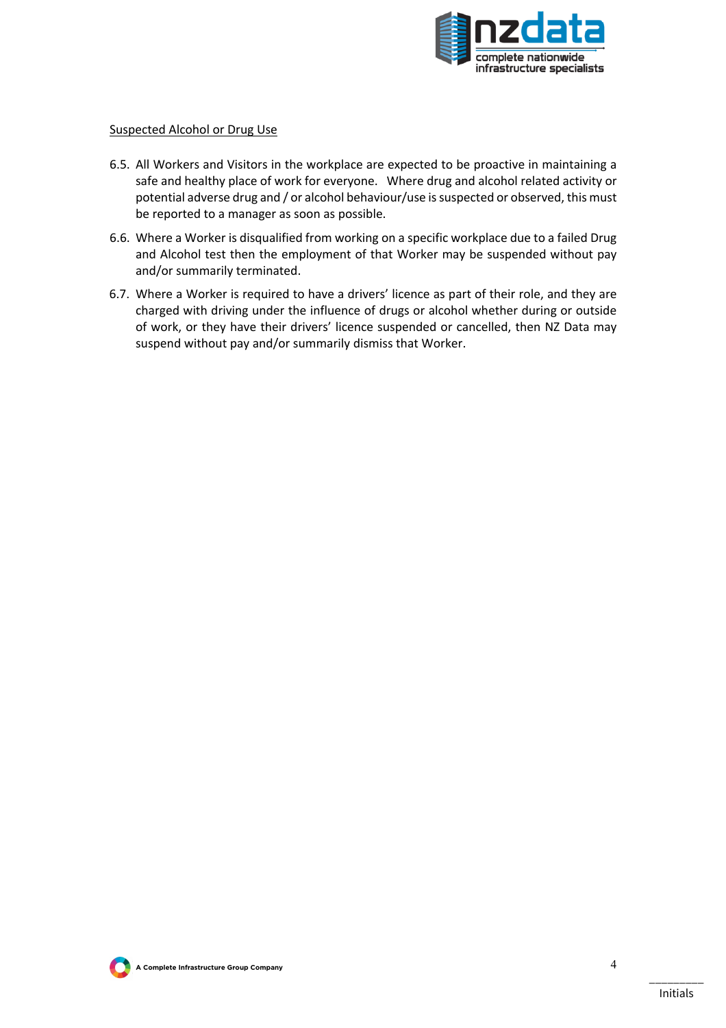

#### Suspected Alcohol or Drug Use

- 6.5. All Workers and Visitors in the workplace are expected to be proactive in maintaining a safe and healthy place of work for everyone. Where drug and alcohol related activity or potential adverse drug and / or alcohol behaviour/use is suspected or observed, this must be reported to a manager as soon as possible.
- 6.6. Where a Worker is disqualified from working on a specific workplace due to a failed Drug and Alcohol test then the employment of that Worker may be suspended without pay and/or summarily terminated.
- 6.7. Where a Worker is required to have a drivers' licence as part of their role, and they are charged with driving under the influence of drugs or alcohol whether during or outside of work, or they have their drivers' licence suspended or cancelled, then NZ Data may suspend without pay and/or summarily dismiss that Worker.

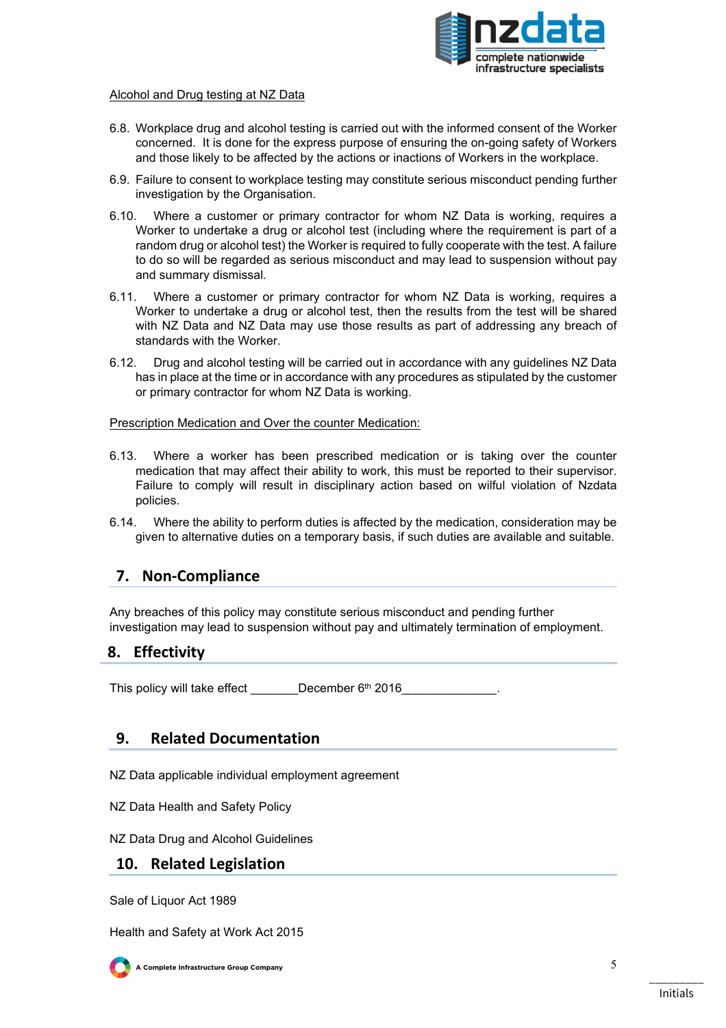

#### Alcohol and Drug testing at NZ Data

- 6.8. Workplace drug and alcohol testing is carried out with the informed consent of the Worker concerned. It is done for the express purpose of ensuring the on-going safety of Workers and those likely to be affected by the actions or inactions of Workers in the workplace.
- 6.9. Failure to consent to workplace testing may constitute serious misconduct pending further investigation by the Organisation.
- 6.10. Where a customer or primary contractor for whom NZ Data is working, requires a Worker to undertake a drug or alcohol test (including where the requirement is part of a random drug or alcohol test) the Worker is required to fully cooperate with the test. A failure to do so will be regarded as serious misconduct and may lead to suspension without pay and summary dismissal.
- 6.11. Where a customer or primary contractor for whom NZ Data is working, requires a Worker to undertake a drug or alcohol test, then the results from the test will be shared with NZ Data and NZ Data may use those results as part of addressing any breach of standards with the Worker.
- 6.12. Drug and alcohol testing will be carried out in accordance with any guidelines NZ Data has in place at the time or in accordance with any procedures as stipulated by the customer or primary contractor for whom NZ Data is working.

Prescription Medication and Over the counter Medication:

- 6.13. Where a worker has been prescribed medication or is taking over the counter medication that may affect their ability to work, this must be reported to their supervisor. Failure to comply will result in disciplinary action based on wilful violation of Nzdata policies.
- 6.14. Where the ability to perform duties is affected by the medication, consideration may be given to alternative duties on a temporary basis, if such duties are available and suitable.

# **7. Non-Compliance**

Any breaches of this policy may constitute serious misconduct and pending further investigation may lead to suspension without pay and ultimately termination of employment.

#### **8. Effectivity**

This policy will take effect December  $6<sup>th</sup>$  2016

# **9. Related Documentation**

NZ Data applicable individual employment agreement

NZ Data Health and Safety Policy

NZ Data Drug and Alcohol Guidelines

# **10. Related Legislation**

Sale of Liquor Act 1989

Health and Safety at Work Act 2015



**A Complete Infrastructure Group Company**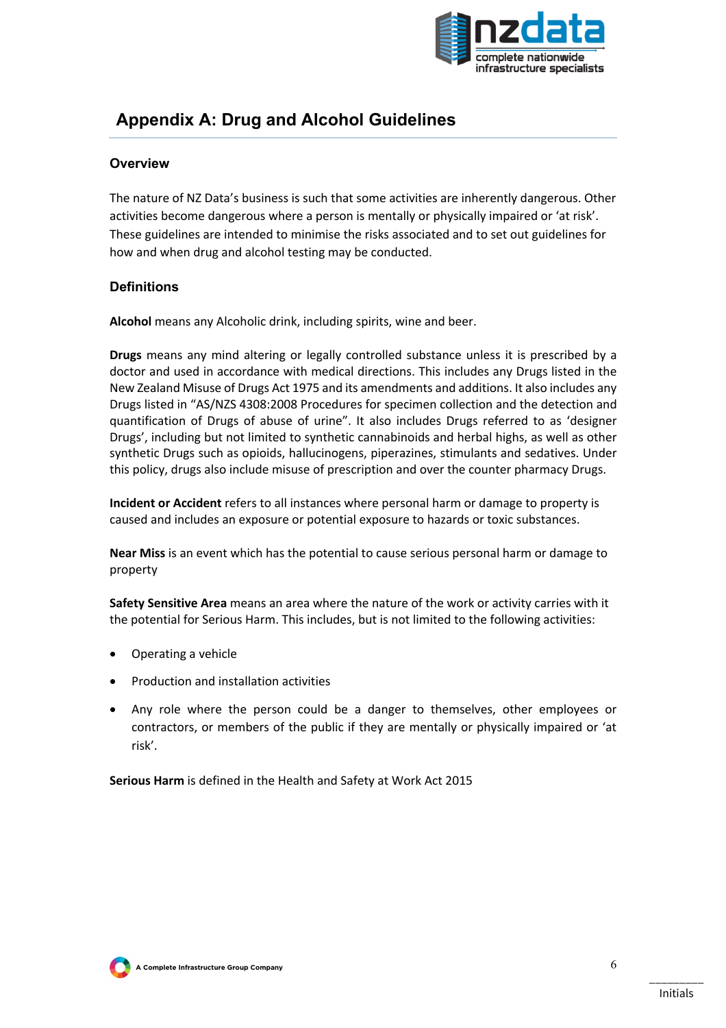

# **Appendix A: Drug and Alcohol Guidelines**

## **Overview**

The nature of NZ Data's business is such that some activities are inherently dangerous. Other activities become dangerous where a person is mentally or physically impaired or 'at risk'. These guidelines are intended to minimise the risks associated and to set out guidelines for how and when drug and alcohol testing may be conducted.

#### **Definitions**

**Alcohol** means any Alcoholic drink, including spirits, wine and beer.

**Drugs** means any mind altering or legally controlled substance unless it is prescribed by a doctor and used in accordance with medical directions. This includes any Drugs listed in the New Zealand Misuse of Drugs Act 1975 and its amendments and additions. It also includes any Drugs listed in "AS/NZS 4308:2008 Procedures for specimen collection and the detection and quantification of Drugs of abuse of urine". It also includes Drugs referred to as 'designer Drugs', including but not limited to synthetic cannabinoids and herbal highs, as well as other synthetic Drugs such as opioids, hallucinogens, piperazines, stimulants and sedatives. Under this policy, drugs also include misuse of prescription and over the counter pharmacy Drugs.

**Incident or Accident** refers to all instances where personal harm or damage to property is caused and includes an exposure or potential exposure to hazards or toxic substances.

**Near Miss** is an event which has the potential to cause serious personal harm or damage to property

**Safety Sensitive Area** means an area where the nature of the work or activity carries with it the potential for Serious Harm. This includes, but is not limited to the following activities:

- Operating a vehicle
- Production and installation activities
- Any role where the person could be a danger to themselves, other employees or contractors, or members of the public if they are mentally or physically impaired or 'at risk'.

**Serious Harm** is defined in the Health and Safety at Work Act 2015

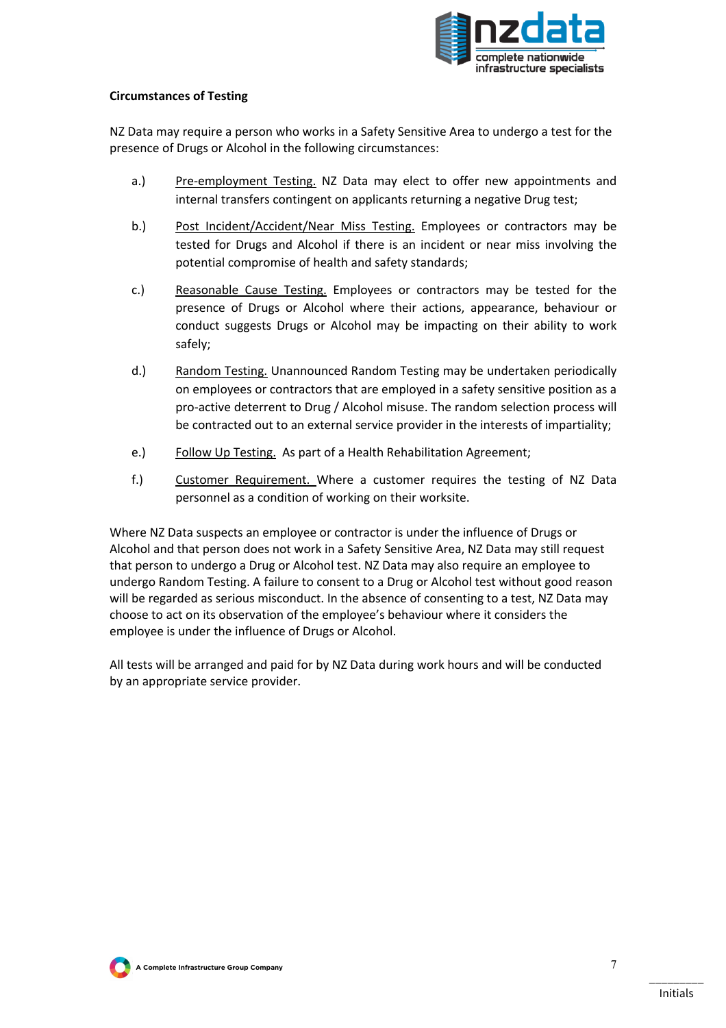

#### **Circumstances of Testing**

NZ Data may require a person who works in a Safety Sensitive Area to undergo a test for the presence of Drugs or Alcohol in the following circumstances:

- a.) Pre-employment Testing. NZ Data may elect to offer new appointments and internal transfers contingent on applicants returning a negative Drug test;
- b.) Post Incident/Accident/Near Miss Testing. Employees or contractors may be tested for Drugs and Alcohol if there is an incident or near miss involving the potential compromise of health and safety standards;
- c.) Reasonable Cause Testing. Employees or contractors may be tested for the presence of Drugs or Alcohol where their actions, appearance, behaviour or conduct suggests Drugs or Alcohol may be impacting on their ability to work safely;
- d.) Random Testing. Unannounced Random Testing may be undertaken periodically on employees or contractors that are employed in a safety sensitive position as a pro-active deterrent to Drug / Alcohol misuse. The random selection process will be contracted out to an external service provider in the interests of impartiality;
- e.) Follow Up Testing. As part of a Health Rehabilitation Agreement;
- f.) Customer Requirement. Where a customer requires the testing of NZ Data personnel as a condition of working on their worksite.

Where NZ Data suspects an employee or contractor is under the influence of Drugs or Alcohol and that person does not work in a Safety Sensitive Area, NZ Data may still request that person to undergo a Drug or Alcohol test. NZ Data may also require an employee to undergo Random Testing. A failure to consent to a Drug or Alcohol test without good reason will be regarded as serious misconduct. In the absence of consenting to a test, NZ Data may choose to act on its observation of the employee's behaviour where it considers the employee is under the influence of Drugs or Alcohol.

All tests will be arranged and paid for by NZ Data during work hours and will be conducted by an appropriate service provider.

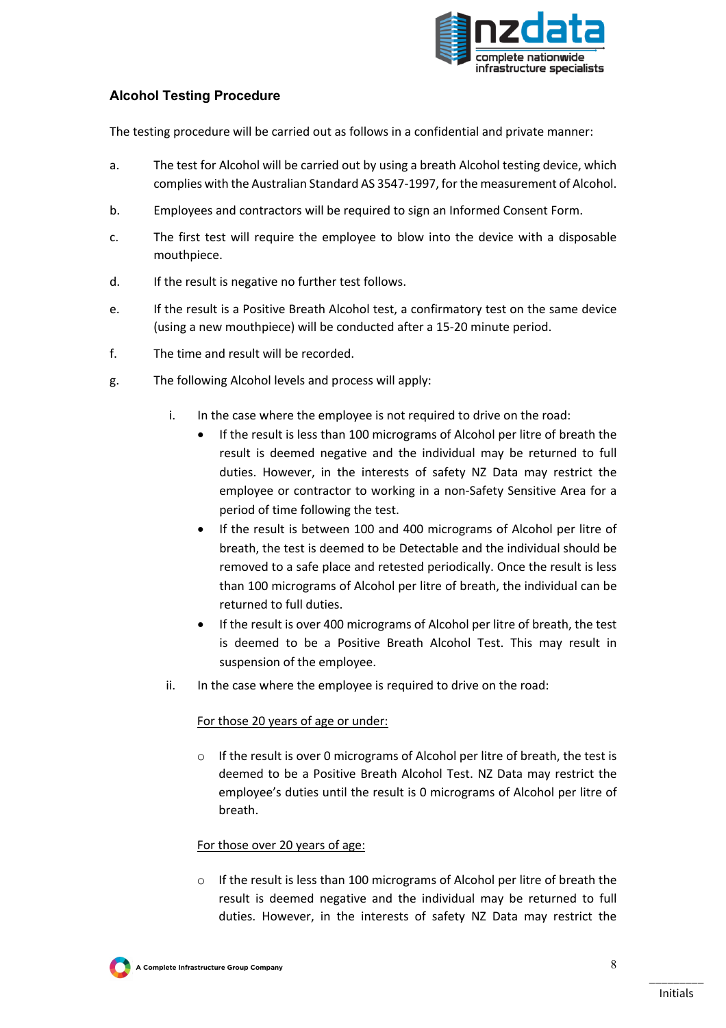

# **Alcohol Testing Procedure**

The testing procedure will be carried out as follows in a confidential and private manner:

- a. The test for Alcohol will be carried out by using a breath Alcohol testing device, which complies with the Australian Standard AS 3547-1997, for the measurement of Alcohol.
- b. Employees and contractors will be required to sign an Informed Consent Form.
- c. The first test will require the employee to blow into the device with a disposable mouthpiece.
- d. If the result is negative no further test follows.
- e. If the result is a Positive Breath Alcohol test, a confirmatory test on the same device (using a new mouthpiece) will be conducted after a 15-20 minute period.
- f. The time and result will be recorded.
- g. The following Alcohol levels and process will apply:
	- i. In the case where the employee is not required to drive on the road:
		- If the result is less than 100 micrograms of Alcohol per litre of breath the result is deemed negative and the individual may be returned to full duties. However, in the interests of safety NZ Data may restrict the employee or contractor to working in a non-Safety Sensitive Area for a period of time following the test.
		- If the result is between 100 and 400 micrograms of Alcohol per litre of breath, the test is deemed to be Detectable and the individual should be removed to a safe place and retested periodically. Once the result is less than 100 micrograms of Alcohol per litre of breath, the individual can be returned to full duties.
		- If the result is over 400 micrograms of Alcohol per litre of breath, the test is deemed to be a Positive Breath Alcohol Test. This may result in suspension of the employee.
	- ii. In the case where the employee is required to drive on the road:

#### For those 20 years of age or under:

If the result is over 0 micrograms of Alcohol per litre of breath, the test is deemed to be a Positive Breath Alcohol Test. NZ Data may restrict the employee's duties until the result is 0 micrograms of Alcohol per litre of breath.

#### For those over 20 years of age:

o If the result is less than 100 micrograms of Alcohol per litre of breath the result is deemed negative and the individual may be returned to full duties. However, in the interests of safety NZ Data may restrict the

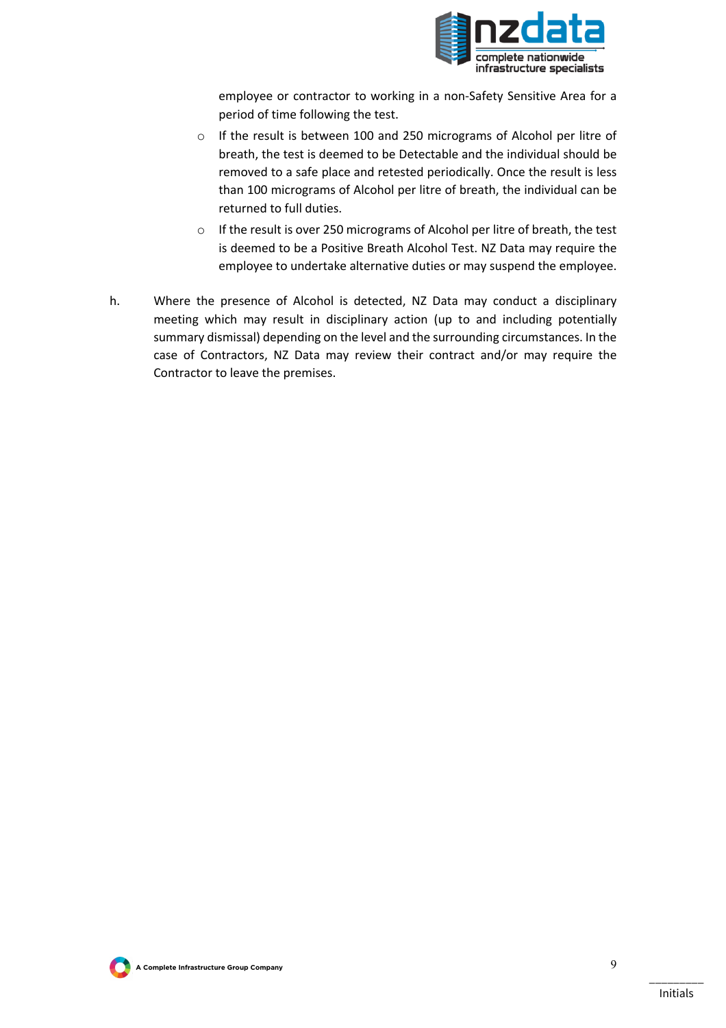

employee or contractor to working in a non-Safety Sensitive Area for a period of time following the test.

- o If the result is between 100 and 250 micrograms of Alcohol per litre of breath, the test is deemed to be Detectable and the individual should be removed to a safe place and retested periodically. Once the result is less than 100 micrograms of Alcohol per litre of breath, the individual can be returned to full duties.
- o If the result is over 250 micrograms of Alcohol per litre of breath, the test is deemed to be a Positive Breath Alcohol Test. NZ Data may require the employee to undertake alternative duties or may suspend the employee.
- h. Where the presence of Alcohol is detected, NZ Data may conduct a disciplinary meeting which may result in disciplinary action (up to and including potentially summary dismissal) depending on the level and the surrounding circumstances. In the case of Contractors, NZ Data may review their contract and/or may require the Contractor to leave the premises.

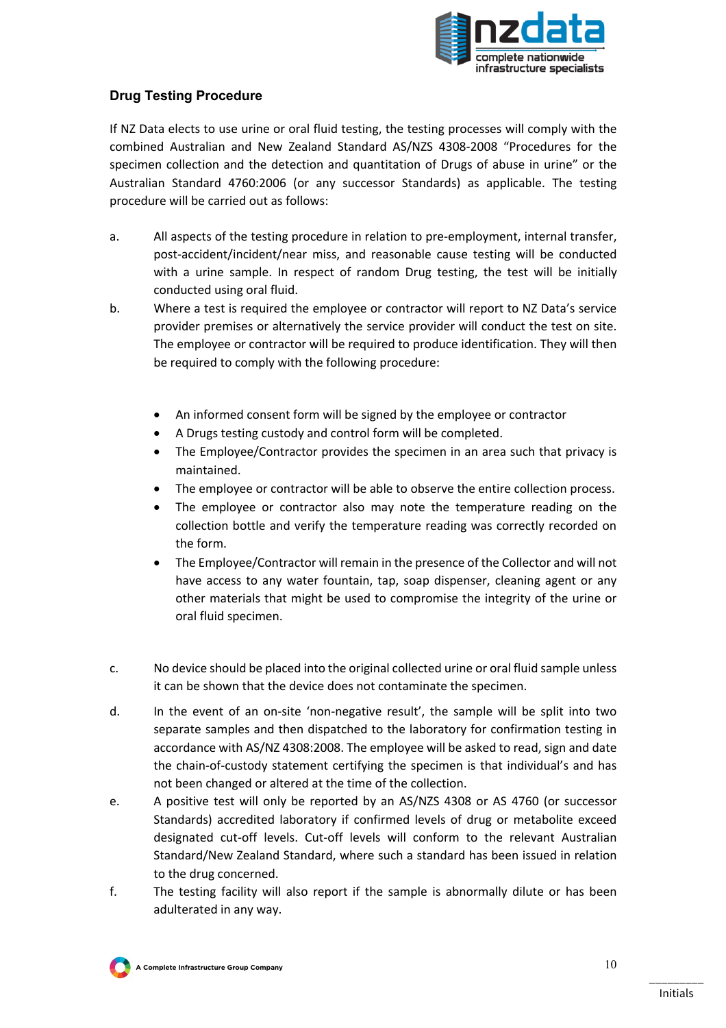

# **Drug Testing Procedure**

If NZ Data elects to use urine or oral fluid testing, the testing processes will comply with the combined Australian and New Zealand Standard AS/NZS 4308-2008 "Procedures for the specimen collection and the detection and quantitation of Drugs of abuse in urine" or the Australian Standard 4760:2006 (or any successor Standards) as applicable. The testing procedure will be carried out as follows:

- a. All aspects of the testing procedure in relation to pre-employment, internal transfer, post-accident/incident/near miss, and reasonable cause testing will be conducted with a urine sample. In respect of random Drug testing, the test will be initially conducted using oral fluid.
- b. Where a test is required the employee or contractor will report to NZ Data's service provider premises or alternatively the service provider will conduct the test on site. The employee or contractor will be required to produce identification. They will then be required to comply with the following procedure:
	- An informed consent form will be signed by the employee or contractor
	- A Drugs testing custody and control form will be completed.
	- The Employee/Contractor provides the specimen in an area such that privacy is maintained.
	- The employee or contractor will be able to observe the entire collection process.
	- The employee or contractor also may note the temperature reading on the collection bottle and verify the temperature reading was correctly recorded on the form.
	- The Employee/Contractor will remain in the presence of the Collector and will not have access to any water fountain, tap, soap dispenser, cleaning agent or any other materials that might be used to compromise the integrity of the urine or oral fluid specimen.
- c. No device should be placed into the original collected urine or oral fluid sample unless it can be shown that the device does not contaminate the specimen.
- d. In the event of an on-site 'non-negative result', the sample will be split into two separate samples and then dispatched to the laboratory for confirmation testing in accordance with AS/NZ 4308:2008. The employee will be asked to read, sign and date the chain-of-custody statement certifying the specimen is that individual's and has not been changed or altered at the time of the collection.
- e. A positive test will only be reported by an AS/NZS 4308 or AS 4760 (or successor Standards) accredited laboratory if confirmed levels of drug or metabolite exceed designated cut-off levels. Cut-off levels will conform to the relevant Australian Standard/New Zealand Standard, where such a standard has been issued in relation to the drug concerned.
- f. The testing facility will also report if the sample is abnormally dilute or has been adulterated in any way.

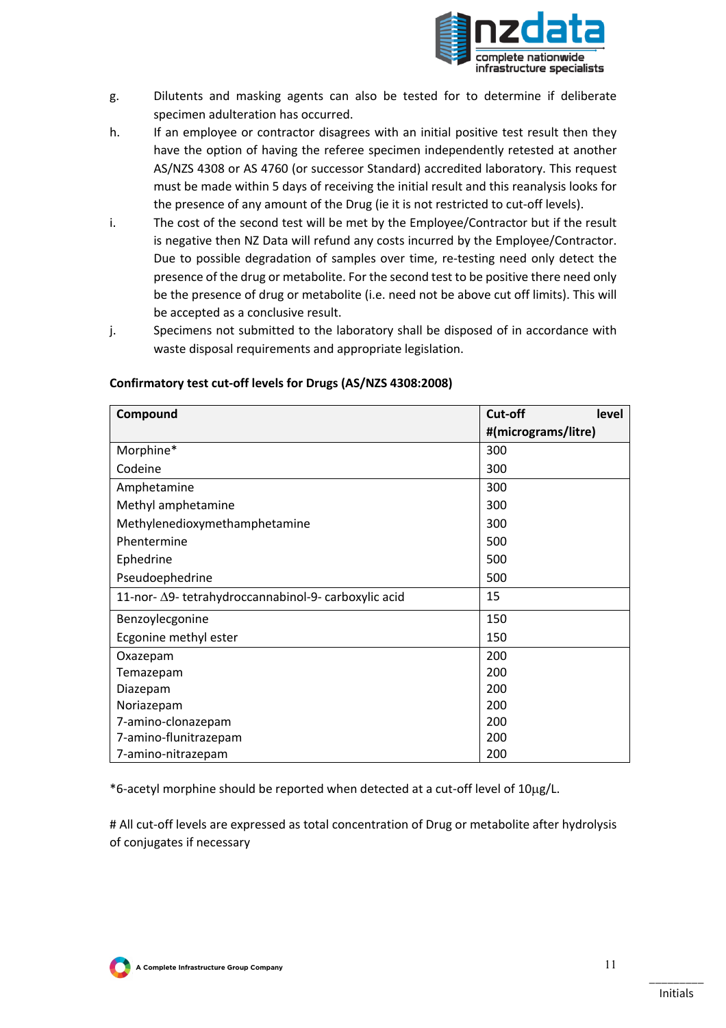

- g. Dilutents and masking agents can also be tested for to determine if deliberate specimen adulteration has occurred.
- h. If an employee or contractor disagrees with an initial positive test result then they have the option of having the referee specimen independently retested at another AS/NZS 4308 or AS 4760 (or successor Standard) accredited laboratory. This request must be made within 5 days of receiving the initial result and this reanalysis looks for the presence of any amount of the Drug (ie it is not restricted to cut-off levels).
- i. The cost of the second test will be met by the Employee/Contractor but if the result is negative then NZ Data will refund any costs incurred by the Employee/Contractor. Due to possible degradation of samples over time, re-testing need only detect the presence of the drug or metabolite. For the second test to be positive there need only be the presence of drug or metabolite (i.e. need not be above cut off limits). This will be accepted as a conclusive result.
- j. Specimens not submitted to the laboratory shall be disposed of in accordance with waste disposal requirements and appropriate legislation.

| Compound                                             | Cut-off<br>level    |  |
|------------------------------------------------------|---------------------|--|
|                                                      | #(micrograms/litre) |  |
| Morphine*                                            | 300                 |  |
| Codeine                                              | 300                 |  |
| Amphetamine                                          | 300                 |  |
| Methyl amphetamine                                   | 300                 |  |
| Methylenedioxymethamphetamine                        | 300                 |  |
| Phentermine                                          | 500                 |  |
| Ephedrine                                            | 500                 |  |
| Pseudoephedrine                                      | 500                 |  |
| 11-nor- Δ9- tetrahydroccannabinol-9- carboxylic acid | 15                  |  |
| Benzoylecgonine                                      | 150                 |  |
| Ecgonine methyl ester                                | 150                 |  |
| Oxazepam                                             | 200                 |  |
| Temazepam                                            | 200                 |  |
| Diazepam                                             | 200                 |  |
| Noriazepam                                           | 200                 |  |
| 7-amino-clonazepam                                   | 200                 |  |
| 7-amino-flunitrazepam                                | 200                 |  |
| 7-amino-nitrazepam                                   | 200                 |  |

#### **Confirmatory test cut-off levels for Drugs (AS/NZS 4308:2008)**

\*6-acetyl morphine should be reported when detected at a cut-off level of 10µg/L.

# All cut-off levels are expressed as total concentration of Drug or metabolite after hydrolysis of conjugates if necessary

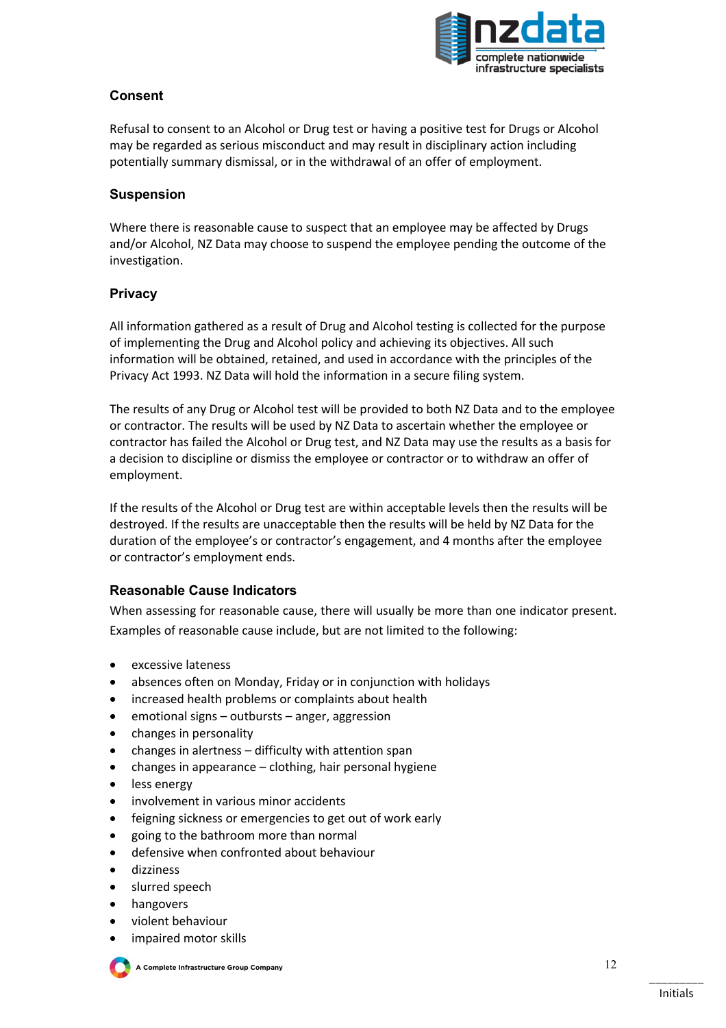

# **Consent**

Refusal to consent to an Alcohol or Drug test or having a positive test for Drugs or Alcohol may be regarded as serious misconduct and may result in disciplinary action including potentially summary dismissal, or in the withdrawal of an offer of employment.

#### **Suspension**

Where there is reasonable cause to suspect that an employee may be affected by Drugs and/or Alcohol, NZ Data may choose to suspend the employee pending the outcome of the investigation.

## **Privacy**

All information gathered as a result of Drug and Alcohol testing is collected for the purpose of implementing the Drug and Alcohol policy and achieving its objectives. All such information will be obtained, retained, and used in accordance with the principles of the Privacy Act 1993. NZ Data will hold the information in a secure filing system.

The results of any Drug or Alcohol test will be provided to both NZ Data and to the employee or contractor. The results will be used by NZ Data to ascertain whether the employee or contractor has failed the Alcohol or Drug test, and NZ Data may use the results as a basis for a decision to discipline or dismiss the employee or contractor or to withdraw an offer of employment.

If the results of the Alcohol or Drug test are within acceptable levels then the results will be destroyed. If the results are unacceptable then the results will be held by NZ Data for the duration of the employee's or contractor's engagement, and 4 months after the employee or contractor's employment ends.

#### **Reasonable Cause Indicators**

When assessing for reasonable cause, there will usually be more than one indicator present. Examples of reasonable cause include, but are not limited to the following:

- excessive lateness
- absences often on Monday, Friday or in conjunction with holidays
- increased health problems or complaints about health
- emotional signs outbursts anger, aggression
- changes in personality
- changes in alertness difficulty with attention span
- changes in appearance clothing, hair personal hygiene
- less energy
- involvement in various minor accidents
- feigning sickness or emergencies to get out of work early
- going to the bathroom more than normal
- defensive when confronted about behaviour
- dizziness
- slurred speech
- hangovers
- violent behaviour
- impaired motor skills



**A Complete Infrastructure Group Company**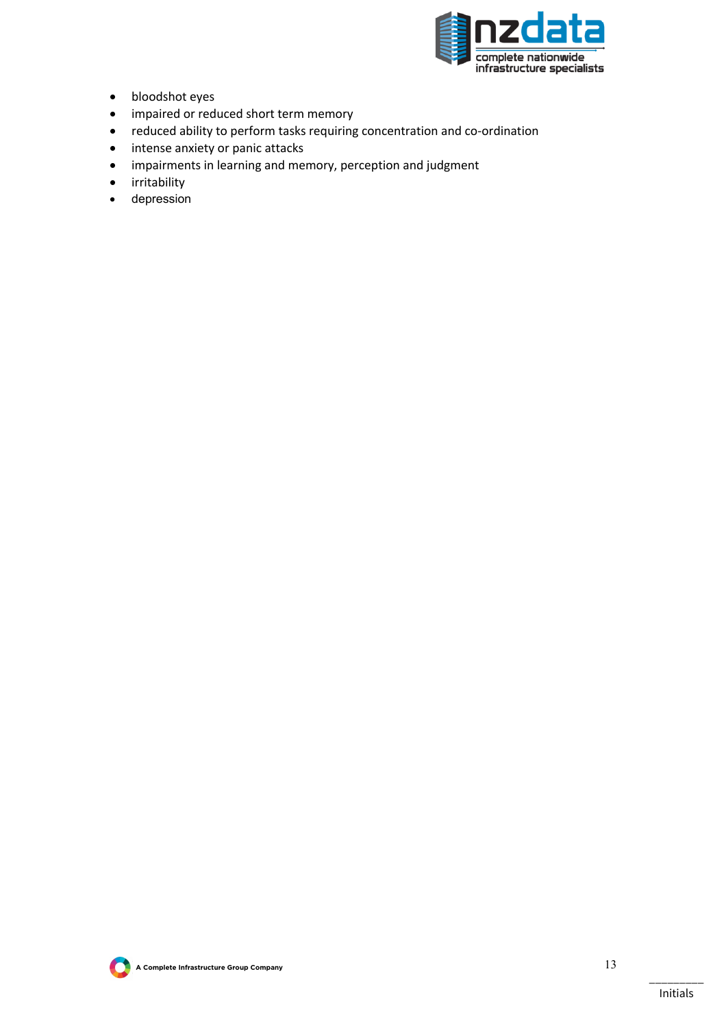

- bloodshot eyes
- impaired or reduced short term memory
- reduced ability to perform tasks requiring concentration and co-ordination
- intense anxiety or panic attacks
- impairments in learning and memory, perception and judgment
- irritability
- depression